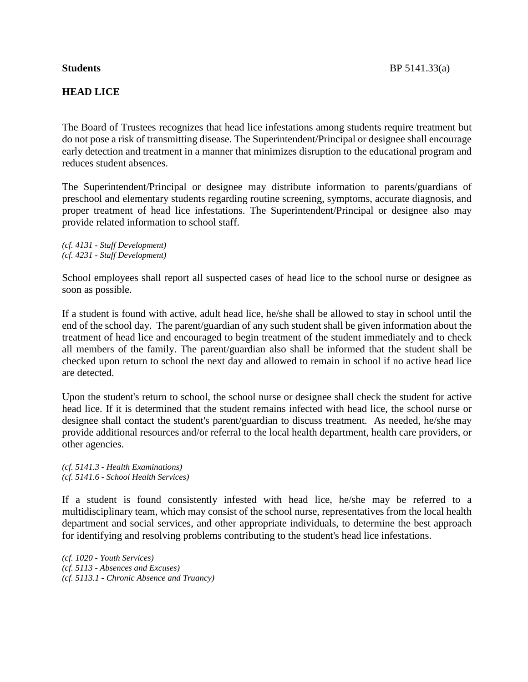## **HEAD LICE**

The Board of Trustees recognizes that head lice infestations among students require treatment but do not pose a risk of transmitting disease. The Superintendent/Principal or designee shall encourage early detection and treatment in a manner that minimizes disruption to the educational program and reduces student absences.

The Superintendent/Principal or designee may distribute information to parents/guardians of preschool and elementary students regarding routine screening, symptoms, accurate diagnosis, and proper treatment of head lice infestations. The Superintendent/Principal or designee also may provide related information to school staff.

*(cf. 4131 - Staff Development) (cf. 4231 - Staff Development)*

School employees shall report all suspected cases of head lice to the school nurse or designee as soon as possible.

If a student is found with active, adult head lice, he/she shall be allowed to stay in school until the end of the school day. The parent/guardian of any such student shall be given information about the treatment of head lice and encouraged to begin treatment of the student immediately and to check all members of the family. The parent/guardian also shall be informed that the student shall be checked upon return to school the next day and allowed to remain in school if no active head lice are detected.

Upon the student's return to school, the school nurse or designee shall check the student for active head lice. If it is determined that the student remains infected with head lice, the school nurse or designee shall contact the student's parent/guardian to discuss treatment. As needed, he/she may provide additional resources and/or referral to the local health department, health care providers, or other agencies.

*(cf. 5141.3 - Health Examinations) (cf. 5141.6 - School Health Services)*

If a student is found consistently infested with head lice, he/she may be referred to a multidisciplinary team, which may consist of the school nurse, representatives from the local health department and social services, and other appropriate individuals, to determine the best approach for identifying and resolving problems contributing to the student's head lice infestations.

*(cf. 1020 - Youth Services) (cf. 5113 - Absences and Excuses) (cf. 5113.1 - Chronic Absence and Truancy)*